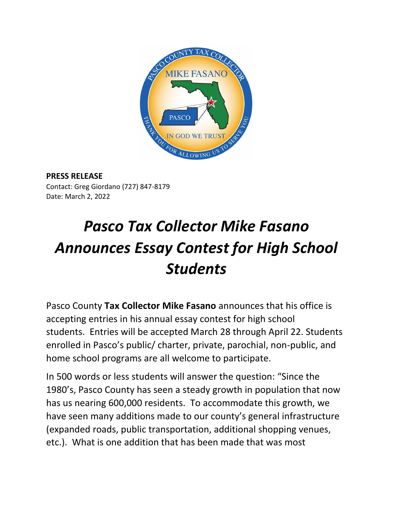

## **PRESS RELEASE**

Contact: Greg Giordano (727) 847-8179 Date: March 2, 2022

## *Pasco Tax Collector Mike Fasano Announces Essay Contest for High School Students*

Pasco County **Tax Collector Mike Fasano** announces that his office is accepting entries in his annual essay contest for high school students. Entries will be accepted March 28 through April 22. Students enrolled in Pasco's public/ charter, private, parochial, non-public, and home school programs are all welcome to participate.

In 500 words or less students will answer the question: "Since the 1980's, Pasco County has seen a steady growth in population that now has us nearing 600,000 residents. To accommodate this growth, we have seen many additions made to our county's general infrastructure (expanded roads, public transportation, additional shopping venues, etc.). What is one addition that has been made that was most